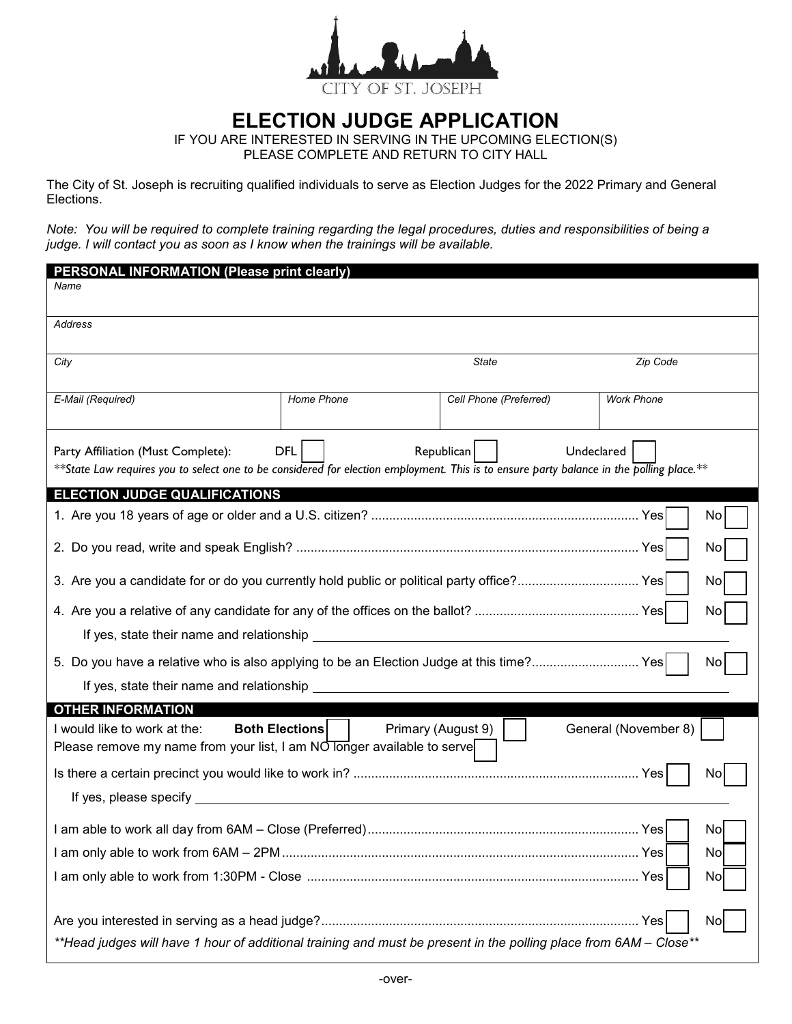

## **ELECTION JUDGE APPLICATION**

IF YOU ARE INTERESTED IN SERVING IN THE UPCOMING ELECTION(S) PLEASE COMPLETE AND RETURN TO CITY HALL

The City of St. Joseph is recruiting qualified individuals to serve as Election Judges for the 2022 Primary and General Elections.

*Note: You will be required to complete training regarding the legal procedures, duties and responsibilities of being a judge. I will contact you as soon as I know when the trainings will be available.*

| <b>PERSONAL INFORMATION (Please print clearly)</b>                                                                                                                                                                       |                       |                        |                      |
|--------------------------------------------------------------------------------------------------------------------------------------------------------------------------------------------------------------------------|-----------------------|------------------------|----------------------|
| Name                                                                                                                                                                                                                     |                       |                        |                      |
| Address                                                                                                                                                                                                                  |                       |                        |                      |
| City                                                                                                                                                                                                                     |                       | State                  | Zip Code             |
|                                                                                                                                                                                                                          |                       |                        |                      |
| E-Mail (Required)                                                                                                                                                                                                        | Home Phone            | Cell Phone (Preferred) | <b>Work Phone</b>    |
| <b>DFL</b><br>Republican<br>Undeclared<br>Party Affiliation (Must Complete):<br>**State Law requires you to select one to be considered for election employment. This is to ensure party balance in the polling place.** |                       |                        |                      |
| <b>ELECTION JUDGE QUALIFICATIONS</b>                                                                                                                                                                                     |                       |                        |                      |
|                                                                                                                                                                                                                          |                       |                        | No                   |
|                                                                                                                                                                                                                          |                       |                        | No                   |
| 3. Are you a candidate for or do you currently hold public or political party office? Yes                                                                                                                                |                       |                        | No                   |
| No                                                                                                                                                                                                                       |                       |                        |                      |
|                                                                                                                                                                                                                          |                       |                        |                      |
| 5. Do you have a relative who is also applying to be an Election Judge at this time? Yes<br>No                                                                                                                           |                       |                        |                      |
|                                                                                                                                                                                                                          |                       |                        |                      |
| <b>OTHER INFORMATION</b>                                                                                                                                                                                                 |                       |                        |                      |
| I would like to work at the:<br>Please remove my name from your list, I am $\overline{NO}$ longer available to serve                                                                                                     | <b>Both Elections</b> | Primary (August 9)     | General (November 8) |
| Nο                                                                                                                                                                                                                       |                       |                        |                      |
|                                                                                                                                                                                                                          |                       |                        |                      |
|                                                                                                                                                                                                                          |                       |                        | No                   |
|                                                                                                                                                                                                                          |                       |                        | No                   |
| No                                                                                                                                                                                                                       |                       |                        |                      |
|                                                                                                                                                                                                                          |                       |                        | No                   |
| **Head judges will have 1 hour of additional training and must be present in the polling place from 6AM - Close**                                                                                                        |                       |                        |                      |